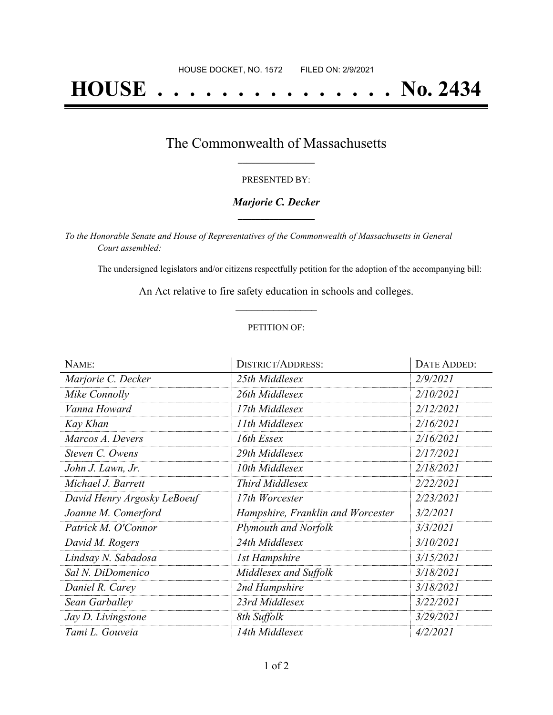# **HOUSE . . . . . . . . . . . . . . . No. 2434**

### The Commonwealth of Massachusetts **\_\_\_\_\_\_\_\_\_\_\_\_\_\_\_\_\_**

#### PRESENTED BY:

#### *Marjorie C. Decker* **\_\_\_\_\_\_\_\_\_\_\_\_\_\_\_\_\_**

*To the Honorable Senate and House of Representatives of the Commonwealth of Massachusetts in General Court assembled:*

The undersigned legislators and/or citizens respectfully petition for the adoption of the accompanying bill:

An Act relative to fire safety education in schools and colleges. **\_\_\_\_\_\_\_\_\_\_\_\_\_\_\_**

#### PETITION OF:

| NAME:                       | <b>DISTRICT/ADDRESS:</b>          | DATE ADDED: |
|-----------------------------|-----------------------------------|-------------|
| Marjorie C. Decker          | 25th Middlesex                    | 2/9/2021    |
| Mike Connolly               | 26th Middlesex                    | 2/10/2021   |
| Vanna Howard                | 17th Middlesex                    | 2/12/2021   |
| Kay Khan                    | 11th Middlesex                    | 2/16/2021   |
| Marcos A. Devers            | 16th Essex                        | 2/16/2021   |
| Steven C. Owens             | 29th Middlesex                    | 2/17/2021   |
| John J. Lawn, Jr.           | 10th Middlesex                    | 2/18/2021   |
| Michael J. Barrett          | <b>Third Middlesex</b>            | 2/22/2021   |
| David Henry Argosky LeBoeuf | 17th Worcester                    | 2/23/2021   |
| Joanne M. Comerford         | Hampshire, Franklin and Worcester | 3/2/2021    |
| Patrick M. O'Connor         | <b>Plymouth and Norfolk</b>       | 3/3/2021    |
| David M. Rogers             | 24th Middlesex                    | 3/10/2021   |
| Lindsay N. Sabadosa         | <b>1st Hampshire</b>              | 3/15/2021   |
| Sal N. DiDomenico           | Middlesex and Suffolk             | 3/18/2021   |
| Daniel R. Carey             | 2nd Hampshire                     | 3/18/2021   |
| Sean Garballey              | 23rd Middlesex                    | 3/22/2021   |
| Jay D. Livingstone          | 8th Suffolk                       | 3/29/2021   |
| Tami L. Gouveia             | 14th Middlesex                    | 4/2/2021    |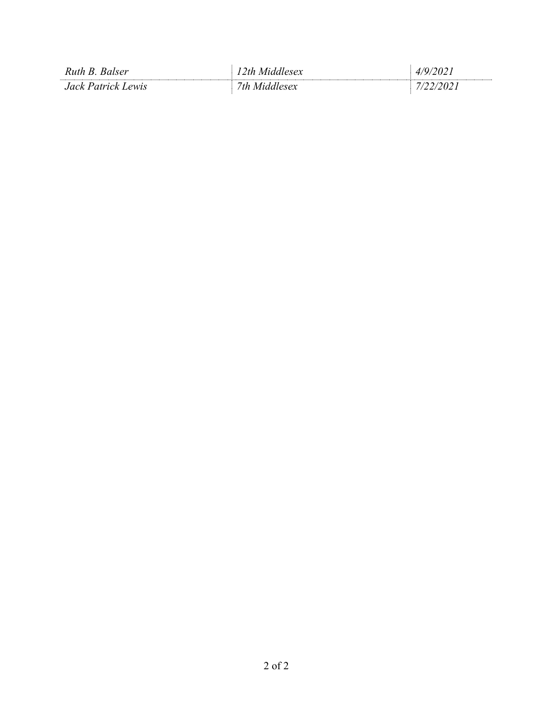| Ruth B.<br>Balser      | 2th |     |
|------------------------|-----|-----|
| lack Patrick I<br>ewis | 'th | ,,, |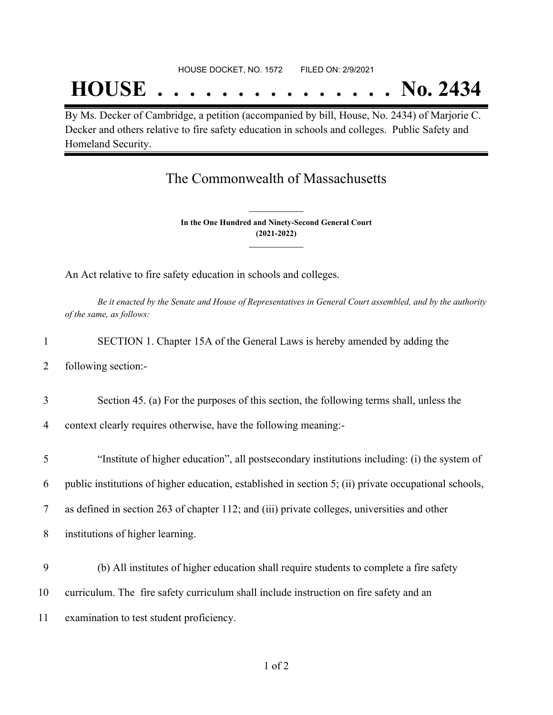#### HOUSE DOCKET, NO. 1572 FILED ON: 2/9/2021

## **HOUSE . . . . . . . . . . . . . . . No. 2434**

By Ms. Decker of Cambridge, a petition (accompanied by bill, House, No. 2434) of Marjorie C. Decker and others relative to fire safety education in schools and colleges. Public Safety and Homeland Security.

## The Commonwealth of Massachusetts

**In the One Hundred and Ninety-Second General Court (2021-2022) \_\_\_\_\_\_\_\_\_\_\_\_\_\_\_**

**\_\_\_\_\_\_\_\_\_\_\_\_\_\_\_**

An Act relative to fire safety education in schools and colleges.

Be it enacted by the Senate and House of Representatives in General Court assembled, and by the authority *of the same, as follows:*

| SECTION 1. Chapter 15A of the General Laws is hereby amended by adding the |  |  |
|----------------------------------------------------------------------------|--|--|
|----------------------------------------------------------------------------|--|--|

2 following section:-

3 Section 45. (a) For the purposes of this section, the following terms shall, unless the

4 context clearly requires otherwise, have the following meaning:-

5 "Institute of higher education", all postsecondary institutions including: (i) the system of

6 public institutions of higher education, established in section 5; (ii) private occupational schools,

7 as defined in section 263 of chapter 112; and (iii) private colleges, universities and other

8 institutions of higher learning.

9 (b) All institutes of higher education shall require students to complete a fire safety

10 curriculum. The fire safety curriculum shall include instruction on fire safety and an

11 examination to test student proficiency.